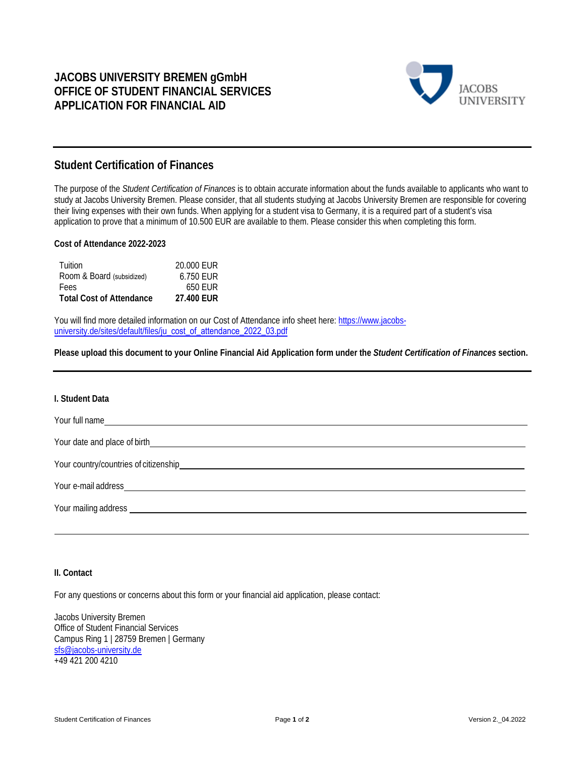

# **Student Certification of Finances**

The purpose of the *Student Certification of Finances* is to obtain accurate information about the funds available to applicants who want to study at Jacobs University Bremen. Please consider, that all students studying at Jacobs University Bremen are responsible for covering their living expenses with their own funds. When applying for a student visa to Germany, it is a required part of a student's visa application to prove that a minimum of 10.500 EUR are available to them. Please consider this when completing this form.

# **Cost of Attendance 2022-2023**

| Tuition                         | 20,000 EUR        |
|---------------------------------|-------------------|
| Room & Board (subsidized)       | 6.750 EUR         |
| <b>Fees</b>                     | 650 FUR           |
| <b>Total Cost of Attendance</b> | <b>27.400 EUR</b> |

You will find more detailed information on our Cost of Attendance info sheet here: https://www.jacobsuniversity.de/sites/default/files/ju\_cost\_of\_attendance\_2022\_03.pdf

**Please upload this document to your Online Financial Aid Application form under the** *Student Certification of Finances* **section.**

#### **I. Student Data**

Your full name Your date and place of birth Your country/countries of citizenship Your e-mail address Your mailing address

### **II. Contact**

For any questions or concerns about this form or your financial aid application, please contact:

Jacobs University Bremen Office of Student Financial Services Campus Ring 1 | 28759 Bremen | Germany sfs@jacobs-university.de +49 421 200 4210